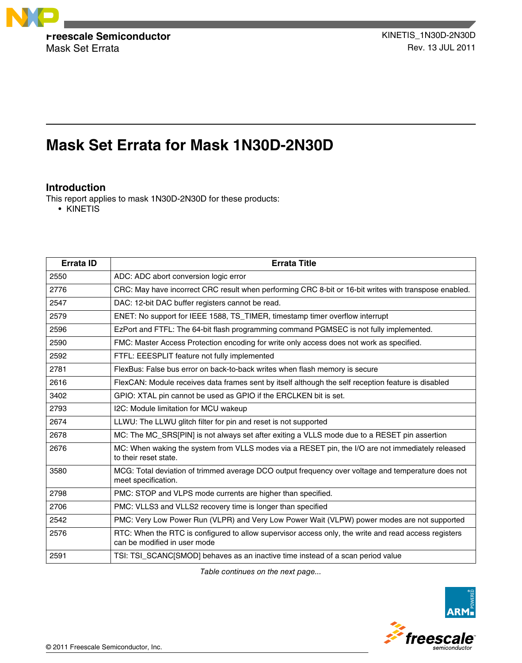

Mask Set Errata **Rev. 13 JUL 2011** 

# **Mask Set Errata for Mask 1N30D-2N30D**

# **Introduction**

This report applies to mask 1N30D-2N30D for these products:

• KINETIS

| <b>Errata ID</b> | <b>Errata Title</b>                                                                                                                  |
|------------------|--------------------------------------------------------------------------------------------------------------------------------------|
| 2550             | ADC: ADC abort conversion logic error                                                                                                |
| 2776             | CRC: May have incorrect CRC result when performing CRC 8-bit or 16-bit writes with transpose enabled.                                |
| 2547             | DAC: 12-bit DAC buffer registers cannot be read.                                                                                     |
| 2579             | ENET: No support for IEEE 1588, TS_TIMER, timestamp timer overflow interrupt                                                         |
| 2596             | EzPort and FTFL: The 64-bit flash programming command PGMSEC is not fully implemented.                                               |
| 2590             | FMC: Master Access Protection encoding for write only access does not work as specified.                                             |
| 2592             | FTFL: EEESPLIT feature not fully implemented                                                                                         |
| 2781             | FlexBus: False bus error on back-to-back writes when flash memory is secure                                                          |
| 2616             | FlexCAN: Module receives data frames sent by itself although the self reception feature is disabled                                  |
| 3402             | GPIO: XTAL pin cannot be used as GPIO if the ERCLKEN bit is set.                                                                     |
| 2793             | I2C: Module limitation for MCU wakeup                                                                                                |
| 2674             | LLWU: The LLWU glitch filter for pin and reset is not supported                                                                      |
| 2678             | MC: The MC_SRS[PIN] is not always set after exiting a VLLS mode due to a RESET pin assertion                                         |
| 2676             | MC: When waking the system from VLLS modes via a RESET pin, the I/O are not immediately released<br>to their reset state.            |
| 3580             | MCG: Total deviation of trimmed average DCO output frequency over voltage and temperature does not<br>meet specification.            |
| 2798             | PMC: STOP and VLPS mode currents are higher than specified.                                                                          |
| 2706             | PMC: VLLS3 and VLLS2 recovery time is longer than specified                                                                          |
| 2542             | PMC: Very Low Power Run (VLPR) and Very Low Power Wait (VLPW) power modes are not supported                                          |
| 2576             | RTC: When the RTC is configured to allow supervisor access only, the write and read access registers<br>can be modified in user mode |
| 2591             | TSI: TSI_SCANC[SMOD] behaves as an inactive time instead of a scan period value                                                      |

*Table continues on the next page...*

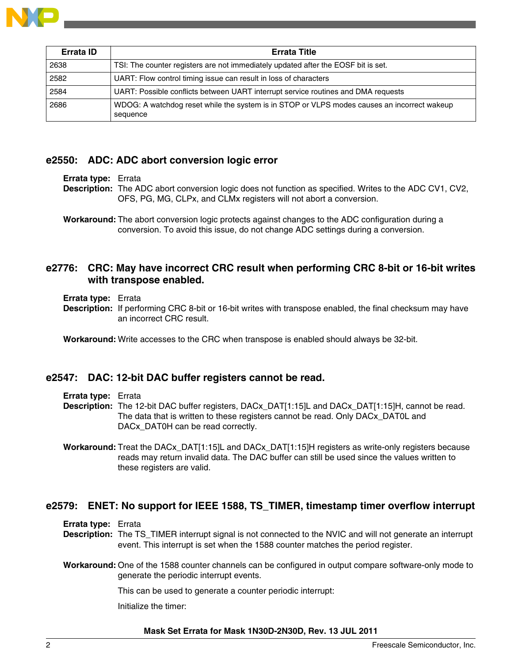

| Errata ID | <b>Errata Title</b>                                                                                     |
|-----------|---------------------------------------------------------------------------------------------------------|
| 2638      | TSI: The counter registers are not immediately updated after the EOSF bit is set.                       |
| 2582      | UART: Flow control timing issue can result in loss of characters                                        |
| 2584      | UART: Possible conflicts between UART interrupt service routines and DMA requests                       |
| 2686      | WDOG: A watchdog reset while the system is in STOP or VLPS modes causes an incorrect wakeup<br>sequence |

# **e2550: ADC: ADC abort conversion logic error**

- **Errata type:** Errata
- **Description:** The ADC abort conversion logic does not function as specified. Writes to the ADC CV1, CV2, OFS, PG, MG, CLPx, and CLMx registers will not abort a conversion.
- **Workaround:** The abort conversion logic protects against changes to the ADC configuration during a conversion. To avoid this issue, do not change ADC settings during a conversion.

# **e2776: CRC: May have incorrect CRC result when performing CRC 8-bit or 16-bit writes with transpose enabled.**

- **Errata type:** Errata
- **Description:** If performing CRC 8-bit or 16-bit writes with transpose enabled, the final checksum may have an incorrect CRC result.

**Workaround:** Write accesses to the CRC when transpose is enabled should always be 32-bit.

# **e2547: DAC: 12-bit DAC buffer registers cannot be read.**

- **Errata type:** Errata
- **Description:** The 12-bit DAC buffer registers, DACx\_DAT[1:15]L and DACx\_DAT[1:15]H, cannot be read. The data that is written to these registers cannot be read. Only DACx\_DAT0L and DACx\_DAT0H can be read correctly.
- **Workaround:** Treat the DACx\_DAT[1:15]L and DACx\_DAT[1:15]H registers as write-only registers because reads may return invalid data. The DAC buffer can still be used since the values written to these registers are valid.

# **e2579: ENET: No support for IEEE 1588, TS\_TIMER, timestamp timer overflow interrupt**

**Errata type:** Errata

**Description:** The TS\_TIMER interrupt signal is not connected to the NVIC and will not generate an interrupt event. This interrupt is set when the 1588 counter matches the period register.

**Workaround:** One of the 1588 counter channels can be configured in output compare software-only mode to generate the periodic interrupt events.

This can be used to generate a counter periodic interrupt:

Initialize the timer: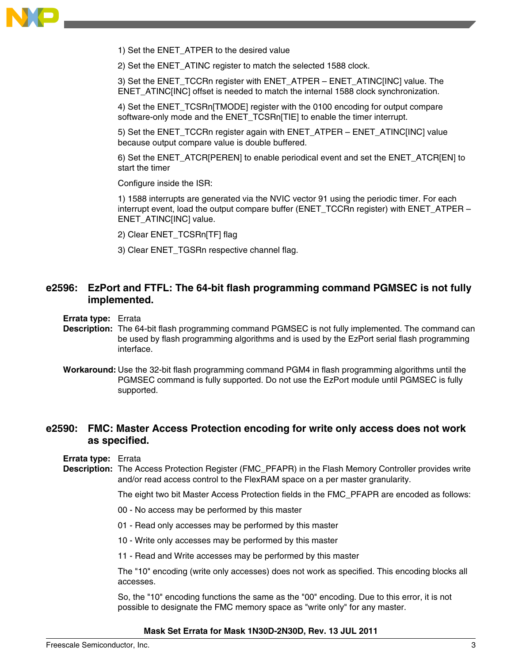

1) Set the ENET\_ATPER to the desired value

2) Set the ENET\_ATINC register to match the selected 1588 clock.

3) Set the ENET\_TCCRn register with ENET\_ATPER – ENET\_ATINC[INC] value. The ENET\_ATINC[INC] offset is needed to match the internal 1588 clock synchronization.

4) Set the ENET TCSRn[TMODE] register with the 0100 encoding for output compare software-only mode and the ENET TCSRn[TIE] to enable the timer interrupt.

5) Set the ENET\_TCCRn register again with ENET\_ATPER – ENET\_ATINC[INC] value because output compare value is double buffered.

6) Set the ENET\_ATCR[PEREN] to enable periodical event and set the ENET\_ATCR[EN] to start the timer

Configure inside the ISR:

1) 1588 interrupts are generated via the NVIC vector 91 using the periodic timer. For each interrupt event, load the output compare buffer (ENET\_TCCRn register) with ENET\_ATPER – ENET\_ATINC[INC] value.

2) Clear ENET\_TCSRn[TF] flag

3) Clear ENET\_TGSRn respective channel flag.

# **e2596: EzPort and FTFL: The 64-bit flash programming command PGMSEC is not fully implemented.**

**Errata type:** Errata

- **Description:** The 64-bit flash programming command PGMSEC is not fully implemented. The command can be used by flash programming algorithms and is used by the EzPort serial flash programming interface.
- **Workaround:** Use the 32-bit flash programming command PGM4 in flash programming algorithms until the PGMSEC command is fully supported. Do not use the EzPort module until PGMSEC is fully supported.

# **e2590: FMC: Master Access Protection encoding for write only access does not work as specified.**

**Errata type:** Errata

**Description:** The Access Protection Register (FMC\_PFAPR) in the Flash Memory Controller provides write and/or read access control to the FlexRAM space on a per master granularity.

The eight two bit Master Access Protection fields in the FMC\_PFAPR are encoded as follows:

- 00 No access may be performed by this master
- 01 Read only accesses may be performed by this master
- 10 Write only accesses may be performed by this master
- 11 Read and Write accesses may be performed by this master

The "10" encoding (write only accesses) does not work as specified. This encoding blocks all accesses.

So, the "10" encoding functions the same as the "00" encoding. Due to this error, it is not possible to designate the FMC memory space as "write only" for any master.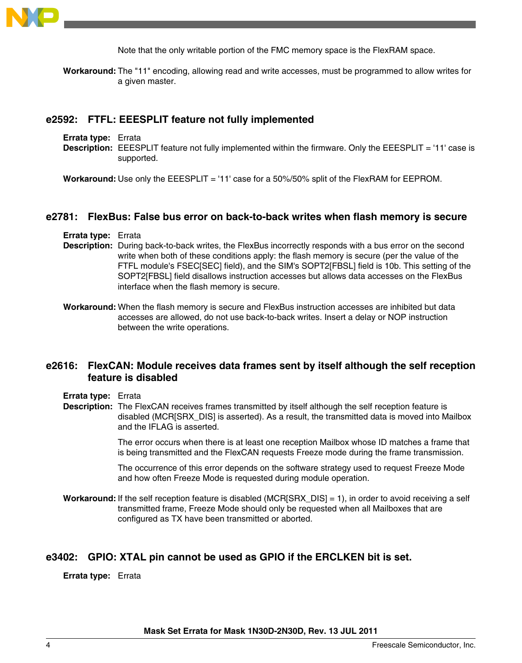

Note that the only writable portion of the FMC memory space is the FlexRAM space.

**Workaround:** The "11" encoding, allowing read and write accesses, must be programmed to allow writes for a given master.

### **e2592: FTFL: EEESPLIT feature not fully implemented**

**Errata type:** Errata

**Description:** EEESPLIT feature not fully implemented within the firmware. Only the EEESPLIT = '11' case is supported.

**Workaround:** Use only the EEESPLIT = '11' case for a 50%/50% split of the FlexRAM for EEPROM.

# **e2781: FlexBus: False bus error on back-to-back writes when flash memory is secure**

**Errata type:** Errata **Description:** During back-to-back writes, the FlexBus incorrectly responds with a bus error on the second write when both of these conditions apply: the flash memory is secure (per the value of the FTFL module's FSEC[SEC] field), and the SIM's SOPT2[FBSL] field is 10b. This setting of the SOPT2[FBSL] field disallows instruction accesses but allows data accesses on the FlexBus interface when the flash memory is secure.

**Workaround:** When the flash memory is secure and FlexBus instruction accesses are inhibited but data accesses are allowed, do not use back-to-back writes. Insert a delay or NOP instruction between the write operations.

# **e2616: FlexCAN: Module receives data frames sent by itself although the self reception feature is disabled**

**Errata type:** Errata

**Description:** The FlexCAN receives frames transmitted by itself although the self reception feature is disabled (MCR[SRX\_DIS] is asserted). As a result, the transmitted data is moved into Mailbox and the IFLAG is asserted.

> The error occurs when there is at least one reception Mailbox whose ID matches a frame that is being transmitted and the FlexCAN requests Freeze mode during the frame transmission.

The occurrence of this error depends on the software strategy used to request Freeze Mode and how often Freeze Mode is requested during module operation.

**Workaround:** If the self reception feature is disabled (MCR[SRX\_DIS] = 1), in order to avoid receiving a self transmitted frame, Freeze Mode should only be requested when all Mailboxes that are configured as TX have been transmitted or aborted.

# **e3402: GPIO: XTAL pin cannot be used as GPIO if the ERCLKEN bit is set.**

**Errata type:** Errata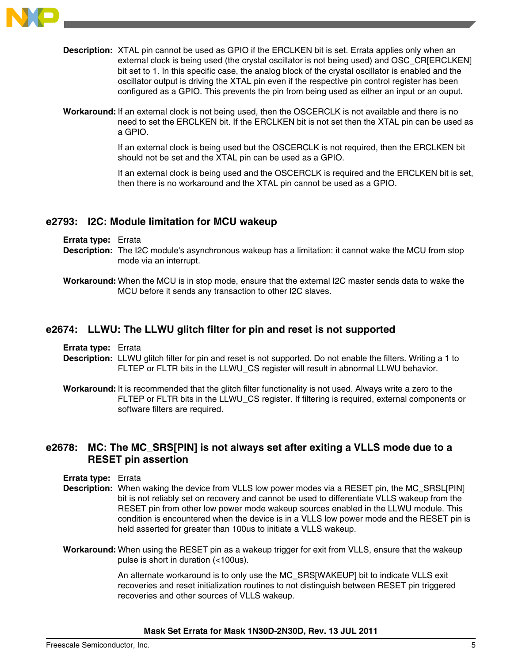

- **Description:** XTAL pin cannot be used as GPIO if the ERCLKEN bit is set. Errata applies only when an external clock is being used (the crystal oscillator is not being used) and OSC\_CR[ERCLKEN] bit set to 1. In this specific case, the analog block of the crystal oscillator is enabled and the oscillator output is driving the XTAL pin even if the respective pin control register has been configured as a GPIO. This prevents the pin from being used as either an input or an ouput.
- **Workaround:** If an external clock is not being used, then the OSCERCLK is not available and there is no need to set the ERCLKEN bit. If the ERCLKEN bit is not set then the XTAL pin can be used as a GPIO.

If an external clock is being used but the OSCERCLK is not required, then the ERCLKEN bit should not be set and the XTAL pin can be used as a GPIO.

If an external clock is being used and the OSCERCLK is required and the ERCLKEN bit is set, then there is no workaround and the XTAL pin cannot be used as a GPIO.

# **e2793: I2C: Module limitation for MCU wakeup**

**Errata type:** Errata

- **Description:** The I2C module's asynchronous wakeup has a limitation: it cannot wake the MCU from stop mode via an interrupt.
- **Workaround:** When the MCU is in stop mode, ensure that the external I2C master sends data to wake the MCU before it sends any transaction to other I2C slaves.

# **e2674: LLWU: The LLWU glitch filter for pin and reset is not supported**

**Errata type:** Errata

- **Description:** LLWU glitch filter for pin and reset is not supported. Do not enable the filters. Writing a 1 to FLTEP or FLTR bits in the LLWU\_CS register will result in abnormal LLWU behavior.
- **Workaround:** It is recommended that the glitch filter functionality is not used. Always write a zero to the FLTEP or FLTR bits in the LLWU\_CS register. If filtering is required, external components or software filters are required.

# **e2678: MC: The MC\_SRS[PIN] is not always set after exiting a VLLS mode due to a RESET pin assertion**

- **Errata type:** Errata
- **Description:** When waking the device from VLLS low power modes via a RESET pin, the MC\_SRSL[PIN] bit is not reliably set on recovery and cannot be used to differentiate VLLS wakeup from the RESET pin from other low power mode wakeup sources enabled in the LLWU module. This condition is encountered when the device is in a VLLS low power mode and the RESET pin is held asserted for greater than 100us to initiate a VLLS wakeup.
- **Workaround:** When using the RESET pin as a wakeup trigger for exit from VLLS, ensure that the wakeup pulse is short in duration (<100us).

An alternate workaround is to only use the MC\_SRS[WAKEUP] bit to indicate VLLS exit recoveries and reset initialization routines to not distinguish between RESET pin triggered recoveries and other sources of VLLS wakeup.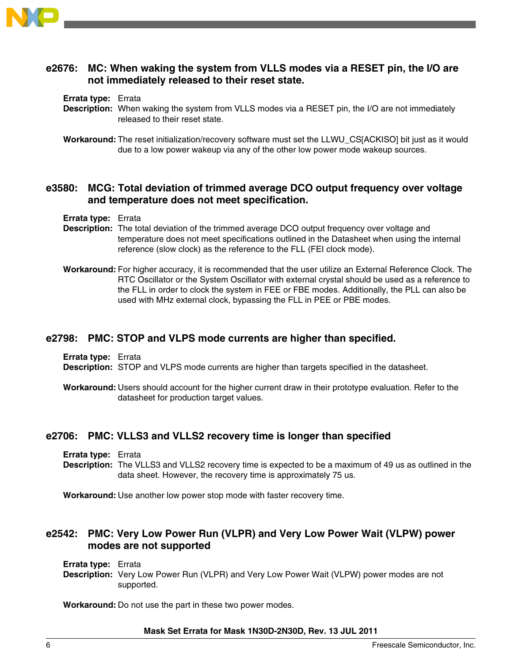

# **e2676: MC: When waking the system from VLLS modes via a RESET pin, the I/O are not immediately released to their reset state.**

### **Errata type:** Errata

**Description:** When waking the system from VLLS modes via a RESET pin, the I/O are not immediately released to their reset state.

**Workaround:** The reset initialization/recovery software must set the LLWU\_CS[ACKISO] bit just as it would due to a low power wakeup via any of the other low power mode wakeup sources.

# **e3580: MCG: Total deviation of trimmed average DCO output frequency over voltage and temperature does not meet specification.**

**Errata type:** Errata

- **Description:** The total deviation of the trimmed average DCO output frequency over voltage and temperature does not meet specifications outlined in the Datasheet when using the internal reference (slow clock) as the reference to the FLL (FEI clock mode).
- **Workaround:** For higher accuracy, it is recommended that the user utilize an External Reference Clock. The RTC Oscillator or the System Oscillator with external crystal should be used as a reference to the FLL in order to clock the system in FEE or FBE modes. Additionally, the PLL can also be used with MHz external clock, bypassing the FLL in PEE or PBE modes.

# **e2798: PMC: STOP and VLPS mode currents are higher than specified.**

**Errata type:** Errata

**Description:** STOP and VLPS mode currents are higher than targets specified in the datasheet.

**Workaround:** Users should account for the higher current draw in their prototype evaluation. Refer to the datasheet for production target values.

# **e2706: PMC: VLLS3 and VLLS2 recovery time is longer than specified**

**Errata type:** Errata

**Description:** The VLLS3 and VLLS2 recovery time is expected to be a maximum of 49 us as outlined in the data sheet. However, the recovery time is approximately 75 us.

**Workaround:** Use another low power stop mode with faster recovery time.

# **e2542: PMC: Very Low Power Run (VLPR) and Very Low Power Wait (VLPW) power modes are not supported**

**Errata type:** Errata **Description:** Very Low Power Run (VLPR) and Very Low Power Wait (VLPW) power modes are not supported.

**Workaround:** Do not use the part in these two power modes.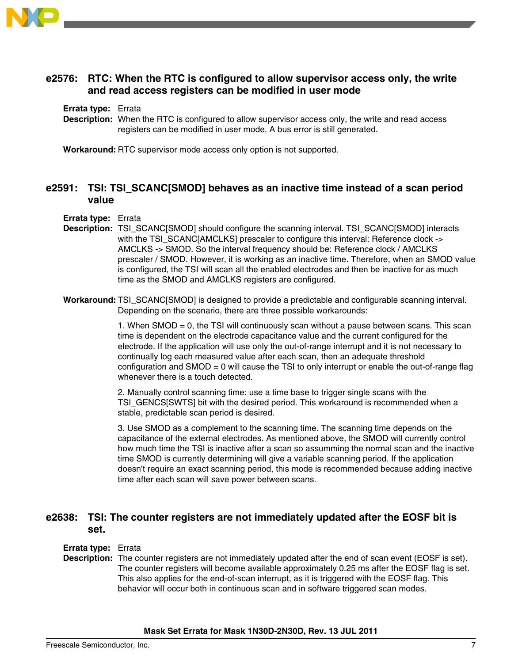

# **e2576: RTC: When the RTC is configured to allow supervisor access only, the write and read access registers can be modified in user mode**

#### **Errata type:** Errata

**Description:** When the RTC is configured to allow supervisor access only, the write and read access registers can be modified in user mode. A bus error is still generated.

**Workaround:** RTC supervisor mode access only option is not supported.

# **e2591: TSI: TSI\_SCANC[SMOD] behaves as an inactive time instead of a scan period value**

**Errata type:** Errata

- **Description:** TSI\_SCANC[SMOD] should configure the scanning interval. TSI\_SCANC[SMOD] interacts with the TSI\_SCANC[AMCLKS] prescaler to configure this interval: Reference clock -> AMCLKS -> SMOD. So the interval frequency should be: Reference clock / AMCLKS prescaler / SMOD. However, it is working as an inactive time. Therefore, when an SMOD value is configured, the TSI will scan all the enabled electrodes and then be inactive for as much time as the SMOD and AMCLKS registers are configured.
- **Workaround:** TSI\_SCANC[SMOD] is designed to provide a predictable and configurable scanning interval. Depending on the scenario, there are three possible workarounds:

1. When SMOD = 0, the TSI will continuously scan without a pause between scans. This scan time is dependent on the electrode capacitance value and the current configured for the electrode. If the application will use only the out-of-range interrupt and it is not necessary to continually log each measured value after each scan, then an adequate threshold configuration and SMOD = 0 will cause the TSI to only interrupt or enable the out-of-range flag whenever there is a touch detected.

2. Manually control scanning time: use a time base to trigger single scans with the TSI\_GENCS[SWTS] bit with the desired period. This workaround is recommended when a stable, predictable scan period is desired.

3. Use SMOD as a complement to the scanning time. The scanning time depends on the capacitance of the external electrodes. As mentioned above, the SMOD will currently control how much time the TSI is inactive after a scan so assumming the normal scan and the inactive time SMOD is currently determining will give a variable scanning period. If the application doesn't require an exact scanning period, this mode is recommended because adding inactive time after each scan will save power between scans.

# **e2638: TSI: The counter registers are not immediately updated after the EOSF bit is set.**

### **Errata type:** Errata

**Description:** The counter registers are not immediately updated after the end of scan event (EOSF is set). The counter registers will become available approximately 0.25 ms after the EOSF flag is set. This also applies for the end-of-scan interrupt, as it is triggered with the EOSF flag. This behavior will occur both in continuous scan and in software triggered scan modes.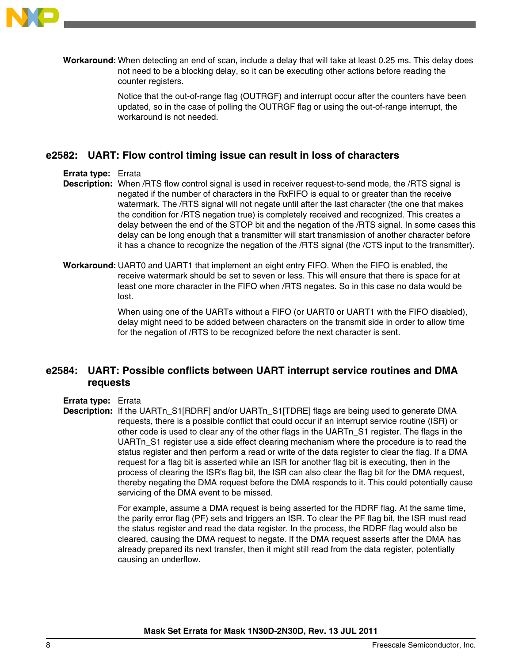

**Workaround:** When detecting an end of scan, include a delay that will take at least 0.25 ms. This delay does not need to be a blocking delay, so it can be executing other actions before reading the counter registers.

> Notice that the out-of-range flag (OUTRGF) and interrupt occur after the counters have been updated, so in the case of polling the OUTRGF flag or using the out-of-range interrupt, the workaround is not needed.

# **e2582: UART: Flow control timing issue can result in loss of characters**

### **Errata type:** Errata

- **Description:** When /RTS flow control signal is used in receiver request-to-send mode, the /RTS signal is negated if the number of characters in the RxFIFO is equal to or greater than the receive watermark. The /RTS signal will not negate until after the last character (the one that makes the condition for /RTS negation true) is completely received and recognized. This creates a delay between the end of the STOP bit and the negation of the /RTS signal. In some cases this delay can be long enough that a transmitter will start transmission of another character before it has a chance to recognize the negation of the /RTS signal (the /CTS input to the transmitter).
- **Workaround:** UART0 and UART1 that implement an eight entry FIFO. When the FIFO is enabled, the receive watermark should be set to seven or less. This will ensure that there is space for at least one more character in the FIFO when /RTS negates. So in this case no data would be lost.

When using one of the UARTs without a FIFO (or UART0 or UART1 with the FIFO disabled), delay might need to be added between characters on the transmit side in order to allow time for the negation of /RTS to be recognized before the next character is sent.

# **e2584: UART: Possible conflicts between UART interrupt service routines and DMA requests**

#### **Errata type:** Errata

**Description:** If the UARTn\_S1[RDRF] and/or UARTn\_S1[TDRE] flags are being used to generate DMA requests, there is a possible conflict that could occur if an interrupt service routine (ISR) or other code is used to clear any of the other flags in the UARTn\_S1 register. The flags in the UARTn\_S1 register use a side effect clearing mechanism where the procedure is to read the status register and then perform a read or write of the data register to clear the flag. If a DMA request for a flag bit is asserted while an ISR for another flag bit is executing, then in the process of clearing the ISR's flag bit, the ISR can also clear the flag bit for the DMA request, thereby negating the DMA request before the DMA responds to it. This could potentially cause servicing of the DMA event to be missed.

> For example, assume a DMA request is being asserted for the RDRF flag. At the same time, the parity error flag (PF) sets and triggers an ISR. To clear the PF flag bit, the ISR must read the status register and read the data register. In the process, the RDRF flag would also be cleared, causing the DMA request to negate. If the DMA request asserts after the DMA has already prepared its next transfer, then it might still read from the data register, potentially causing an underflow.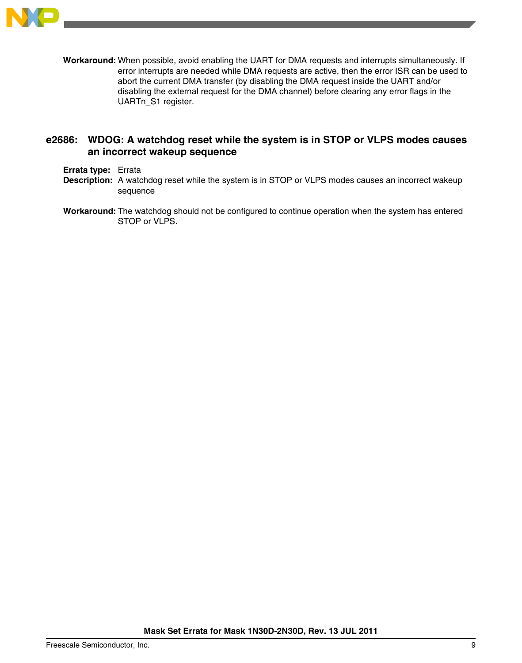

**Workaround:** When possible, avoid enabling the UART for DMA requests and interrupts simultaneously. If error interrupts are needed while DMA requests are active, then the error ISR can be used to abort the current DMA transfer (by disabling the DMA request inside the UART and/or disabling the external request for the DMA channel) before clearing any error flags in the UARTn\_S1 register.

# **e2686: WDOG: A watchdog reset while the system is in STOP or VLPS modes causes an incorrect wakeup sequence**

**Errata type:** Errata

- **Description:** A watchdog reset while the system is in STOP or VLPS modes causes an incorrect wakeup sequence
- **Workaround:** The watchdog should not be configured to continue operation when the system has entered STOP or VLPS.